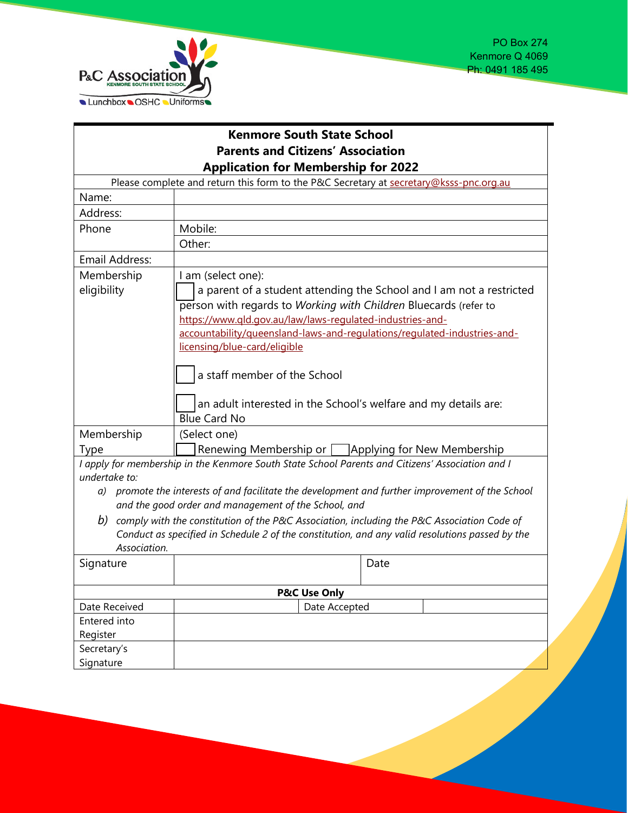

## **Kenmore South State School Parents and Citizens' Association Application for Membership for 2022**

| Please complete and return this form to the P&C Secretary at secretary@ksss-pnc.org.au                            |                                                                                                  |
|-------------------------------------------------------------------------------------------------------------------|--------------------------------------------------------------------------------------------------|
| Name:                                                                                                             |                                                                                                  |
| Address:                                                                                                          |                                                                                                  |
| Phone                                                                                                             | Mobile:                                                                                          |
|                                                                                                                   | Other:                                                                                           |
| Email Address:                                                                                                    |                                                                                                  |
| Membership                                                                                                        | I am (select one):                                                                               |
| eligibility                                                                                                       | a parent of a student attending the School and I am not a restricted                             |
|                                                                                                                   | person with regards to Working with Children Bluecards (refer to                                 |
|                                                                                                                   | https://www.qld.gov.au/law/laws-regulated-industries-and-                                        |
|                                                                                                                   | accountability/queensland-laws-and-regulations/regulated-industries-and-                         |
|                                                                                                                   | licensing/blue-card/eligible                                                                     |
|                                                                                                                   |                                                                                                  |
|                                                                                                                   | a staff member of the School                                                                     |
|                                                                                                                   |                                                                                                  |
|                                                                                                                   | an adult interested in the School's welfare and my details are:                                  |
|                                                                                                                   | <b>Blue Card No</b>                                                                              |
| Membership                                                                                                        | (Select one)                                                                                     |
| Type                                                                                                              | Renewing Membership or <b>Applying for New Membership</b>                                        |
| I apply for membership in the Kenmore South State School Parents and Citizens' Association and I<br>undertake to: |                                                                                                  |
|                                                                                                                   | a) promote the interests of and facilitate the development and further improvement of the School |
|                                                                                                                   | and the good order and management of the School, and                                             |
| comply with the constitution of the P&C Association, including the P&C Association Code of<br>b)                  |                                                                                                  |
|                                                                                                                   | Conduct as specified in Schedule 2 of the constitution, and any valid resolutions passed by the  |
| Association.                                                                                                      |                                                                                                  |
| Signature                                                                                                         | Date                                                                                             |
|                                                                                                                   |                                                                                                  |
| <b>P&amp;C Use Only</b>                                                                                           |                                                                                                  |
| Date Received                                                                                                     | Date Accepted                                                                                    |
| Entered into                                                                                                      |                                                                                                  |
| Register                                                                                                          |                                                                                                  |
| Secretary's                                                                                                       |                                                                                                  |
| Signature                                                                                                         |                                                                                                  |